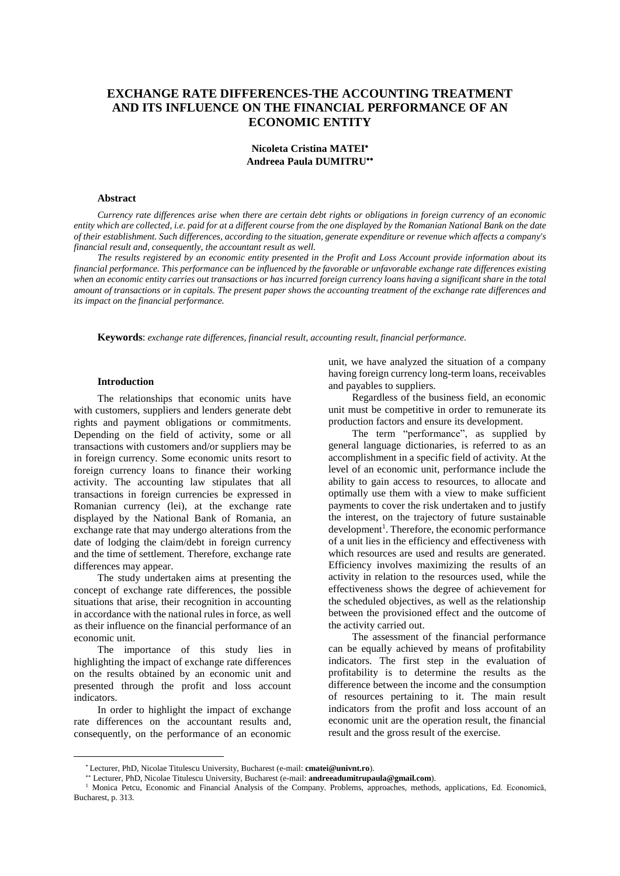# **EXCHANGE RATE DIFFERENCES-THE ACCOUNTING TREATMENT AND ITS INFLUENCE ON THE FINANCIAL PERFORMANCE OF AN ECONOMIC ENTITY**

### **Nicoleta Cristina MATEI Andreea Paula DUMITRU**

### **Abstract**

Currency rate differences arise when there are certain debt rights or obligations in foreign currency of an economic entity which are collected, i.e. paid for at a different course from the one displayed by the Romanian National Bank on the date of their establishment. Such differences, according to the situation, generate expenditure or revenue which affects a company's *financial result and, consequently, the accountant result as well.*

The results registered by an economic entity presented in the Profit and Loss Account provide information about its financial performance. This performance can be influenced by the favorable or unfavorable exchange rate differences existing when an economic entity carries out transactions or has incurred foreign currency loans having a significant share in the total amount of transactions or in capitals. The present paper shows the accounting treatment of the exchange rate differences and *its impact on the financial performance.*

**Keywords**: *exchange rate differences, financial result, accounting result, financial performance.*

### **Introduction**

The relationships that economic units have with customers, suppliers and lenders generate debt rights and payment obligations or commitments. Depending on the field of activity, some or all transactions with customers and/or suppliers may be in foreign currency. Some economic units resort to foreign currency loans to finance their working activity. The accounting law stipulates that all transactions in foreign currencies be expressed in Romanian currency (lei), at the exchange rate displayed by the National Bank of Romania, an exchange rate that may undergo alterations from the date of lodging the claim/debt in foreign currency and the time of settlement. Therefore, exchange rate differences may appear.

The study undertaken aims at presenting the concept of exchange rate differences, the possible situations that arise, their recognition in accounting in accordance with the national rules in force, as well as their influence on the financial performance of an economic unit.

The importance of this study lies in highlighting the impact of exchange rate differences on the results obtained by an economic unit and presented through the profit and loss account indicators.

In order to highlight the impact of exchange rate differences on the accountant results and, consequently, on the performance of an economic

 $\overline{a}$ 

unit, we have analyzed the situation of a company having foreign currency long-term loans, receivables and payables to suppliers.

Regardless of the business field, an economic unit must be competitive in order to remunerate its production factors and ensure its development.

The term "performance", as supplied by general language dictionaries, is referred to as an accomplishment in a specific field of activity. At the level of an economic unit, performance include the ability to gain access to resources, to allocate and optimally use them with a view to make sufficient payments to cover the risk undertaken and to justify the interest, on the trajectory of future sustainable development<sup>1</sup>. Therefore, the economic performance of a unit lies in the efficiency and effectiveness with which resources are used and results are generated. Efficiency involves maximizing the results of an activity in relation to the resources used, while the effectiveness shows the degree of achievement for the scheduled objectives, as well as the relationship between the provisioned effect and the outcome of the activity carried out.

The assessment of the financial performance can be equally achieved by means of profitability indicators. The first step in the evaluation of profitability is to determine the results as the difference between the income and the consumption of resources pertaining to it. The main result indicators from the profit and loss account of an economic unit are the operation result, the financial result and the gross result of the exercise.

Lecturer, PhD, Nicolae Titulescu University, Bucharest (e-mail: **cmatei@univnt.ro**).

Lecturer, PhD, Nicolae Titulescu University, Bucharest (e-mail: **andreeadumitrupaula@gmail.com**).

<sup>1</sup> Monica Petcu, Economic and Financial Analysis of the Company. Problems, approaches, methods, applications, Ed. Economică, Bucharest, p. 313.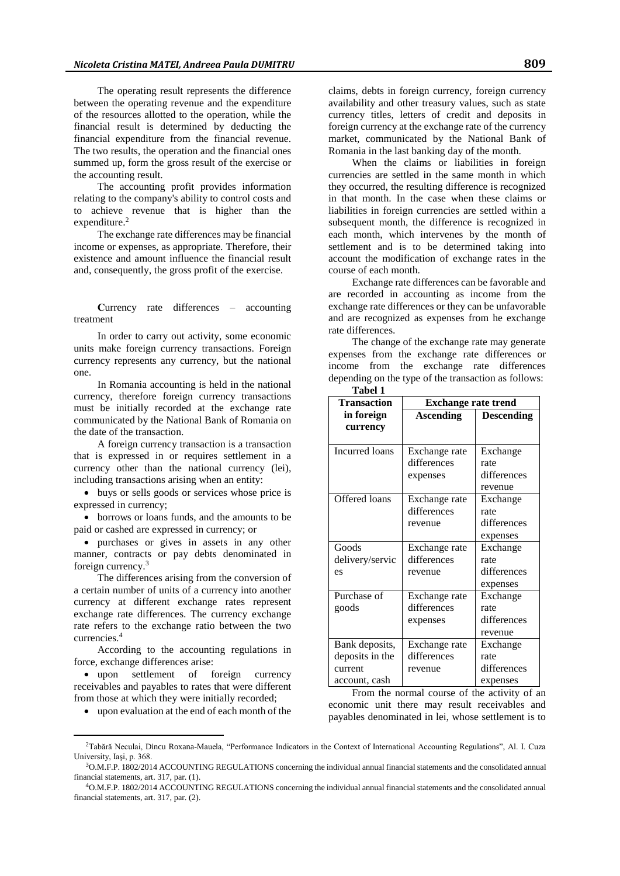The operating result represents the difference between the operating revenue and the expenditure of the resources allotted to the operation, while the financial result is determined by deducting the financial expenditure from the financial revenue. The two results, the operation and the financial ones summed up, form the gross result of the exercise or the accounting result.

The accounting profit provides information relating to the company's ability to control costs and to achieve revenue that is higher than the expenditure.<sup>2</sup>

The exchange rate differences may be financial income or expenses, as appropriate. Therefore, their existence and amount influence the financial result and, consequently, the gross profit of the exercise.

**C**urrency rate differences – accounting treatment

In order to carry out activity, some economic units make foreign currency transactions. Foreign currency represents any currency, but the national one.

In Romania accounting is held in the national currency, therefore foreign currency transactions must be initially recorded at the exchange rate communicated by the National Bank of Romania on the date of the transaction.

A foreign currency transaction is a transaction that is expressed in or requires settlement in a currency other than the national currency (lei), including transactions arising when an entity:

 buys or sells goods or services whose price is expressed in currency;

 borrows or loans funds, and the amounts to be paid or cashed are expressed in currency; or

 purchases or gives in assets in any other manner, contracts or pay debts denominated in foreign currency.<sup>3</sup>

The differences arising from the conversion of a certain number of units of a currency into another currency at different exchange rates represent exchange rate differences. The currency exchange rate refers to the exchange ratio between the two currencies.<sup>4</sup>

According to the accounting regulations in force, exchange differences arise:

 upon settlement of foreign currency receivables and payables to rates that were different from those at which they were initially recorded;

 $\overline{a}$ 

upon evaluation at the end of each month of the

claims, debts in foreign currency, foreign currency availability and other treasury values, such as state currency titles, letters of credit and deposits in foreign currency at the exchange rate of the currency market, communicated by the National Bank of Romania in the last banking day of the month.

When the claims or liabilities in foreign currencies are settled in the same month in which they occurred, the resulting difference is recognized in that month. In the case when these claims or liabilities in foreign currencies are settled within a subsequent month, the difference is recognized in each month, which intervenes by the month of settlement and is to be determined taking into account the modification of exchange rates in the course of each month.

Exchange rate differences can be favorable and are recorded in accounting as income from the exchange rate differences or they can be unfavorable and are recognized as expenses from he exchange rate differences.

The change of the exchange rate may generate expenses from the exchange rate differences or income from the exchange rate differences depending on the type of the transaction as follows: **Tabel 1**

| тарсі 1            |                            |                   |  |
|--------------------|----------------------------|-------------------|--|
| <b>Transaction</b> | <b>Exchange rate trend</b> |                   |  |
| in foreign         | <b>Ascending</b>           | <b>Descending</b> |  |
| currency           |                            |                   |  |
|                    |                            |                   |  |
| Incurred loans     | Exchange rate              | Exchange          |  |
|                    | differences                | rate              |  |
|                    | expenses                   | differences       |  |
|                    |                            | revenue           |  |
| Offered loans      | Exchange rate              | Exchange          |  |
|                    | differences                | rate              |  |
|                    | revenue                    | differences       |  |
|                    |                            | expenses          |  |
| Goods              | Exchange rate              | Exchange          |  |
| delivery/servic    | differences                | rate              |  |
| es                 | revenue                    | differences       |  |
|                    |                            | expenses          |  |
| Purchase of        | Exchange rate              | Exchange          |  |
| goods              | differences                | rate              |  |
|                    | expenses                   | differences       |  |
|                    |                            | revenue           |  |
| Bank deposits,     | Exchange rate              | Exchange          |  |
| deposits in the    | differences                | rate              |  |
| current            | revenue                    | differences       |  |
| account, cash      |                            | expenses          |  |

From the normal course of the activity of an economic unit there may result receivables and payables denominated in lei, whose settlement is to

<sup>2</sup>Tabără Neculai, Dincu Roxana-Mauela, "Performance Indicators in the Context of International Accounting Regulations", Al. I. Cuza University, Iaşi, p. 368.

<sup>3</sup>O.M.F.P. 1802/2014 ACCOUNTING REGULATIONS concerning the individual annual financial statements and the consolidated annual financial statements, art. 317, par. (1).

<sup>4</sup>O.M.F.P. 1802/2014 ACCOUNTING REGULATIONS concerning the individual annual financial statements and the consolidated annual financial statements, art. 317, par. (2).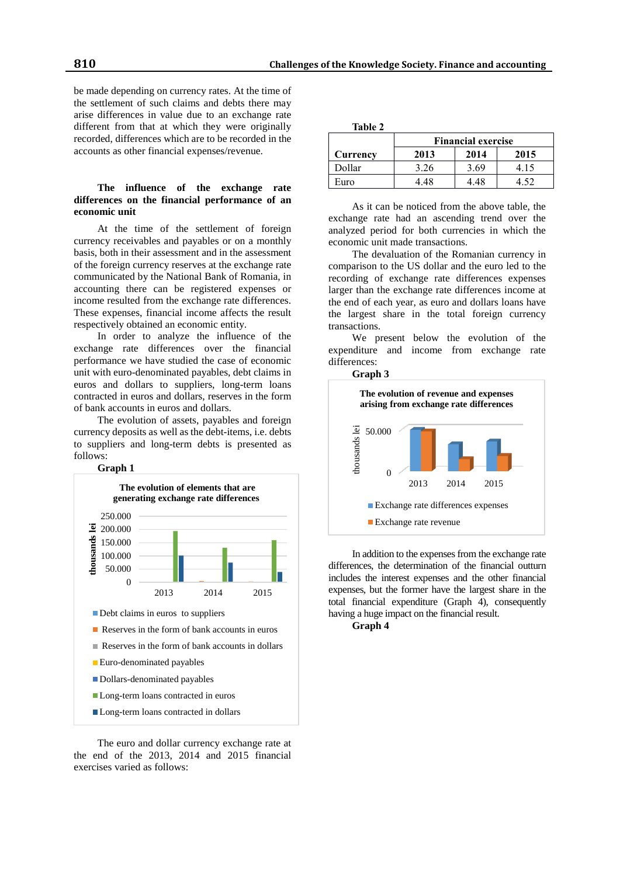be made depending on currency rates. At the time of the settlement of such claims and debts there may arise differences in value due to an exchange rate different from that at which they were originally recorded, differences which are to be recorded in the accounts as other financial expenses/revenue.

## **The influence of the exchange rate differences on the financial performance of an economic unit**

At the time of the settlement of foreign currency receivables and payables or on a monthly basis, both in their assessment and in the assessment of the foreign currency reserves at the exchange rate communicated by the National Bank of Romania, in accounting there can be registered expenses or income resulted from the exchange rate differences. These expenses, financial income affects the result respectively obtained an economic entity.

In order to analyze the influence of the exchange rate differences over the financial performance we have studied the case of economic unit with euro-denominated payables, debt claims in euros and dollars to suppliers, long-term loans contracted in euros and dollars, reserves in the form of bank accounts in euros and dollars.

The evolution of assets, payables and foreign currency deposits as well as the debt-items, i.e. debts to suppliers and long-term debts is presented as follows:



The euro and dollar currency exchange rate at the end of the 2013, 2014 and 2015 financial exercises varied as follows:

| labl<br>16 |
|------------|
|------------|

|          | <b>Financial exercise</b> |      |      |
|----------|---------------------------|------|------|
| Currency | 2013                      | 2014 | 2015 |
| Dollar   | 3.26                      | 3.69 | 4.15 |
| Euro     | 4 48                      | 4 48 |      |

As it can be noticed from the above table, the exchange rate had an ascending trend over the analyzed period for both currencies in which the economic unit made transactions.

The devaluation of the Romanian currency in comparison to the US dollar and the euro led to the recording of exchange rate differences expenses larger than the exchange rate differences income at the end of each year, as euro and dollars loans have the largest share in the total foreign currency transactions.

We present below the evolution of the expenditure and income from exchange rate differences:

**Graph 3**



In addition to the expensesfrom the exchange rate differences, the determination of the financial outturn includes the interest expenses and the other financial expenses, but the former have the largest share in the total financial expenditure (Graph 4), consequently having a huge impact on the financial result.

### **Graph 4**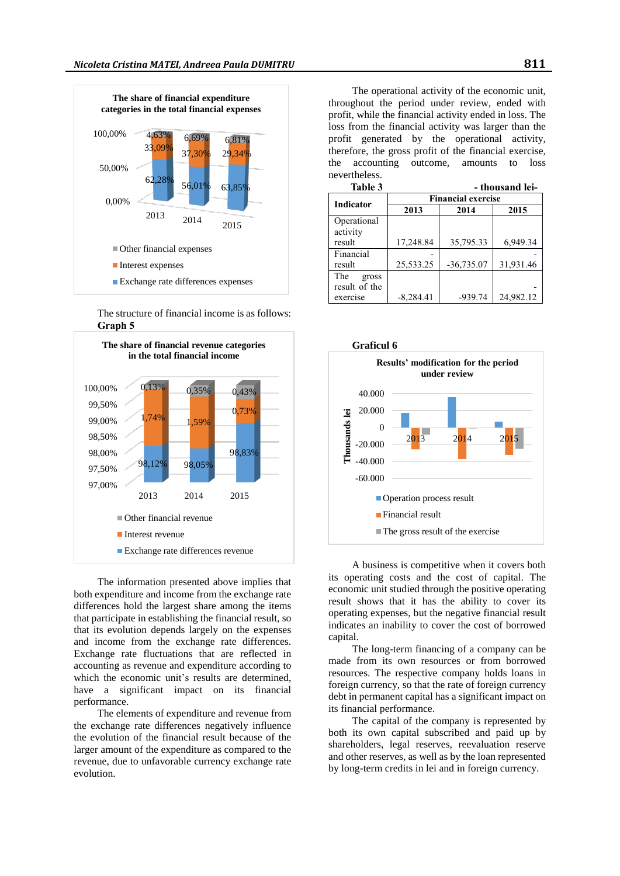

The structure of financial income is as follows: **Graph 5**



The information presented above implies that both expenditure and income from the exchange rate differences hold the largest share among the items that participate in establishing the financial result, so that its evolution depends largely on the expenses and income from the exchange rate differences. Exchange rate fluctuations that are reflected in accounting as revenue and expenditure according to which the economic unit's results are determined, have a significant impact on its financial performance.

The elements of expenditure and revenue from the exchange rate differences negatively influence the evolution of the financial result because of the larger amount of the expenditure as compared to the revenue, due to unfavorable currency exchange rate evolution.

The operational activity of the economic unit, throughout the period under review, ended with profit, while the financial activity ended in loss. The loss from the financial activity was larger than the profit generated by the operational activity, therefore, the gross profit of the financial exercise, the accounting outcome, amounts to loss nevertheless.

| Table 3       |                           |              | - thousand lei- |  |
|---------------|---------------------------|--------------|-----------------|--|
| Indicator     | <b>Financial exercise</b> |              |                 |  |
|               | 2013                      | 2014         | 2015            |  |
| Operational   |                           |              |                 |  |
| activity      |                           |              |                 |  |
| result        | 17,248.84                 | 35,795.33    | 6,949.34        |  |
| Financial     |                           |              |                 |  |
| result        | 25,533.25                 | $-36,735.07$ | 31,931.46       |  |
| The<br>gross  |                           |              |                 |  |
| result of the |                           |              |                 |  |
| exercise      | $-8,284.41$               | $-939.74$    | 24,982.12       |  |



A business is competitive when it covers both its operating costs and the cost of capital. The economic unit studied through the positive operating result shows that it has the ability to cover its operating expenses, but the negative financial result indicates an inability to cover the cost of borrowed capital.

The long-term financing of a company can be made from its own resources or from borrowed resources. The respective company holds loans in foreign currency, so that the rate of foreign currency debt in permanent capital has a significant impact on its financial performance.

The capital of the company is represented by both its own capital subscribed and paid up by shareholders, legal reserves, reevaluation reserve and other reserves, as well as by the loan represented by long-term credits in lei and in foreign currency.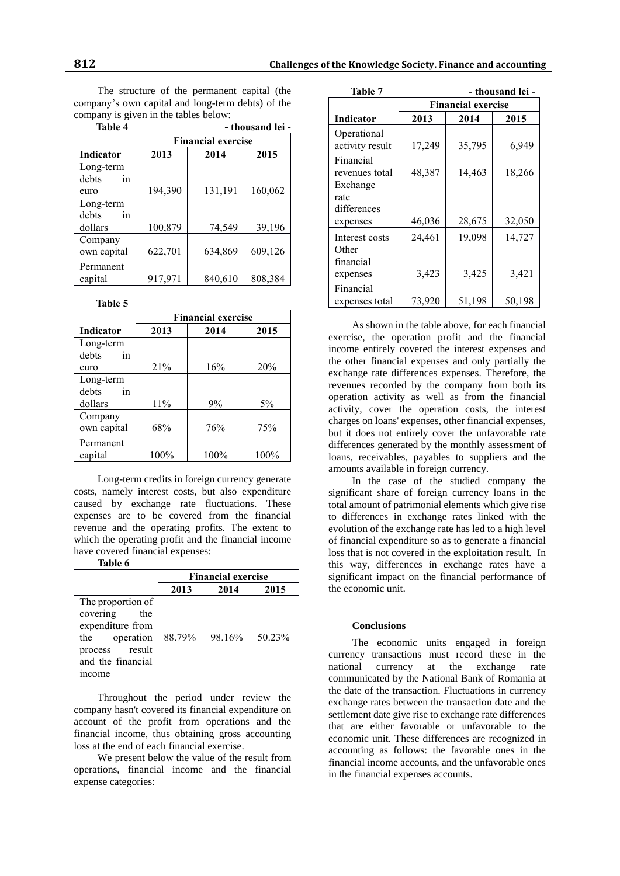The structure of the permanent capital (the company's own capital and long-term debts) of the company is given in the tables below:

| Table 4     | - thousand lei -          |         |         |
|-------------|---------------------------|---------|---------|
|             | <b>Financial exercise</b> |         |         |
| Indicator   | 2013                      | 2014    | 2015    |
| Long-term   |                           |         |         |
| debts<br>in |                           |         |         |
| euro        | 194,390                   | 131,191 | 160,062 |
| Long-term   |                           |         |         |
| debts<br>in |                           |         |         |
| dollars     | 100,879                   | 74,549  | 39,196  |
| Company     |                           |         |         |
| own capital | 622,701                   | 634,869 | 609,126 |
| Permanent   |                           |         |         |
| capital     | 917,971                   | 840,610 | 808,384 |

**Table 5**

|             | <b>Financial exercise</b> |      |       |
|-------------|---------------------------|------|-------|
| Indicator   | 2013                      | 2014 | 2015  |
| Long-term   |                           |      |       |
| debts<br>in |                           |      |       |
| euro        | 21%                       | 16%  | 20%   |
| Long-term   |                           |      |       |
| debts<br>in |                           |      |       |
| dollars     | 11%                       | 9%   | $5\%$ |
| Company     |                           |      |       |
| own capital | 68%                       | 76%  | 75%   |
| Permanent   |                           |      |       |
| capital     | 100%                      | 100% | 100%  |

Long-term credits in foreign currency generate costs, namely interest costs, but also expenditure caused by exchange rate fluctuations. These expenses are to be covered from the financial revenue and the operating profits. The extent to which the operating profit and the financial income have covered financial expenses:

**Table 6**

|                                                                                                                              | <b>Financial exercise</b> |        |        |
|------------------------------------------------------------------------------------------------------------------------------|---------------------------|--------|--------|
|                                                                                                                              | 2013                      | 2014   | 2015   |
| The proportion of<br>covering<br>the<br>expenditure from<br>operation<br>the<br>process result<br>and the financial<br>mcome | 88.79%                    | 98.16% | 50.23% |

Throughout the period under review the company hasn't covered its financial expenditure on account of the profit from operations and the financial income, thus obtaining gross accounting loss at the end of each financial exercise.

We present below the value of the result from operations, financial income and the financial expense categories:

| Table 7                        |                           |        | - thousand lei - |
|--------------------------------|---------------------------|--------|------------------|
|                                | <b>Financial exercise</b> |        |                  |
| Indicator                      | 2013                      | 2014   | 2015             |
| Operational<br>activity result | 17,249                    | 35,795 | 6,949            |
| Financial<br>revenues total    | 48,387                    | 14,463 | 18,266           |
| Exchange                       |                           |        |                  |
| rate                           |                           |        |                  |
| differences                    |                           |        |                  |
| expenses                       | 46,036                    | 28,675 | 32,050           |
| Interest costs                 | 24,461                    | 19,098 | 14,727           |
| Other                          |                           |        |                  |
| financial                      |                           |        |                  |
| expenses                       | 3,423                     | 3,425  | 3,421            |
| Financial                      |                           |        |                  |
| expenses total                 | 73,920                    | 51,198 | 50,198           |

As shown in the table above, for each financial exercise, the operation profit and the financial income entirely covered the interest expenses and the other financial expenses and only partially the exchange rate differences expenses. Therefore, the revenues recorded by the company from both its operation activity as well as from the financial activity, cover the operation costs, the interest charges on loans' expenses, other financial expenses, but it does not entirely cover the unfavorable rate differences generated by the monthly assessment of loans, receivables, payables to suppliers and the amounts available in foreign currency.

In the case of the studied company the significant share of foreign currency loans in the total amount of patrimonial elements which give rise to differences in exchange rates linked with the evolution of the exchange rate has led to a high level of financial expenditure so as to generate a financial loss that is not covered in the exploitation result. In this way, differences in exchange rates have a significant impact on the financial performance of the economic unit.

### **Conclusions**

The economic units engaged in foreign currency transactions must record these in the national currency at the exchange rate communicated by the National Bank of Romania at the date of the transaction. Fluctuations in currency exchange rates between the transaction date and the settlement date give rise to exchange rate differences that are either favorable or unfavorable to the economic unit. These differences are recognized in accounting as follows: the favorable ones in the financial income accounts, and the unfavorable ones in the financial expenses accounts.